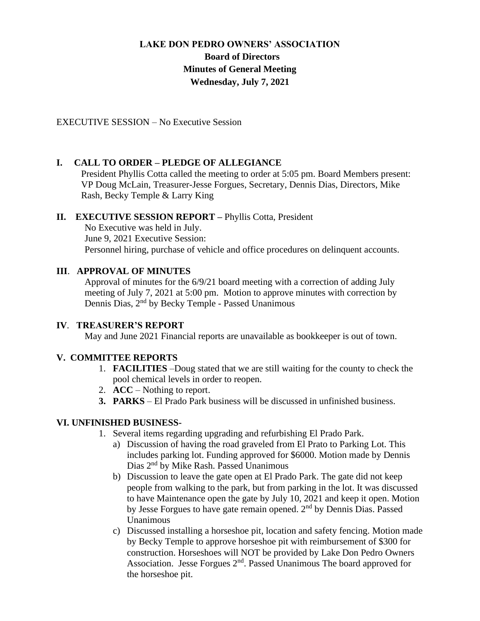# **LAKE DON PEDRO OWNERS' ASSOCIATION Board of Directors Minutes of General Meeting Wednesday, July 7, 2021**

EXECUTIVE SESSION – No Executive Session

## **I. CALL TO ORDER – PLEDGE OF ALLEGIANCE**

 President Phyllis Cotta called the meeting to order at 5:05 pm. Board Members present: VP Doug McLain, Treasurer-Jesse Forgues, Secretary, Dennis Dias, Directors, Mike Rash, Becky Temple & Larry King

### **II. EXECUTIVE SESSION REPORT –** Phyllis Cotta, President

No Executive was held in July. June 9, 2021 Executive Session: Personnel hiring, purchase of vehicle and office procedures on delinquent accounts.

### **III**. **APPROVAL OF MINUTES**

Approval of minutes for the 6/9/21 board meeting with a correction of adding July meeting of July 7, 2021 at 5:00 pm. Motion to approve minutes with correction by Dennis Dias, 2nd by Becky Temple - Passed Unanimous

#### **IV**. **TREASURER'S REPORT**

May and June 2021 Financial reports are unavailable as bookkeeper is out of town.

## **V. COMMITTEE REPORTS**

- 1. **FACILITIES** –Doug stated that we are still waiting for the county to check the pool chemical levels in order to reopen.
- 2. **ACC** Nothing to report.
- **3. PARKS** El Prado Park business will be discussed in unfinished business.

## **VI. UNFINISHED BUSINESS-**

- 1. Several items regarding upgrading and refurbishing El Prado Park.
	- a) Discussion of having the road graveled from El Prato to Parking Lot. This includes parking lot. Funding approved for \$6000. Motion made by Dennis Dias 2nd by Mike Rash. Passed Unanimous
	- b) Discussion to leave the gate open at El Prado Park. The gate did not keep people from walking to the park, but from parking in the lot. It was discussed to have Maintenance open the gate by July 10, 2021 and keep it open. Motion by Jesse Forgues to have gate remain opened. 2nd by Dennis Dias. Passed Unanimous
	- c) Discussed installing a horseshoe pit, location and safety fencing. Motion made by Becky Temple to approve horseshoe pit with reimbursement of \$300 for construction. Horseshoes will NOT be provided by Lake Don Pedro Owners Association. Jesse Forgues 2<sup>nd</sup>. Passed Unanimous The board approved for the horseshoe pit.